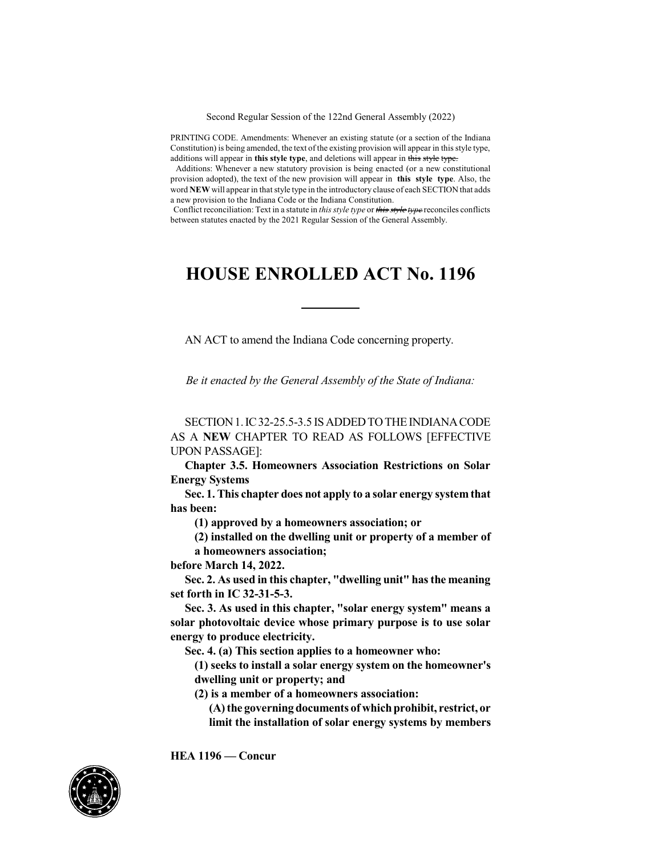Second Regular Session of the 122nd General Assembly (2022)

PRINTING CODE. Amendments: Whenever an existing statute (or a section of the Indiana Constitution) is being amended, the text of the existing provision will appear in this style type, additions will appear in **this style type**, and deletions will appear in this style type.

Additions: Whenever a new statutory provision is being enacted (or a new constitutional provision adopted), the text of the new provision will appear in **this style type**. Also, the word **NEW** will appear in that style type in the introductory clause of each SECTION that adds a new provision to the Indiana Code or the Indiana Constitution.

Conflict reconciliation: Text in a statute in *this style type* or *this style type* reconciles conflicts between statutes enacted by the 2021 Regular Session of the General Assembly.

## **HOUSE ENROLLED ACT No. 1196**

AN ACT to amend the Indiana Code concerning property.

*Be it enacted by the General Assembly of the State of Indiana:*

SECTION 1. IC32-25.5-3.5 IS ADDED TO THE INDIANA CODE AS A **NEW** CHAPTER TO READ AS FOLLOWS [EFFECTIVE UPON PASSAGE]:

**Chapter 3.5. Homeowners Association Restrictions on Solar Energy Systems**

**Sec. 1.This chapter does not apply to a solar energy system that has been:**

**(1) approved by a homeowners association; or**

**(2) installed on the dwelling unit or property of a member of a homeowners association;**

**before March 14, 2022.**

**Sec. 2. As used in this chapter, "dwelling unit" hasthe meaning set forth in IC 32-31-5-3.**

**Sec. 3. As used in this chapter, "solar energy system" means a solar photovoltaic device whose primary purpose is to use solar energy to produce electricity.**

**Sec. 4. (a) This section applies to a homeowner who:**

**(1) seeks to install a solar energy system on the homeowner's dwelling unit or property; and**

**(2) is a member of a homeowners association:**

**(A)the governing documents of whichprohibit, restrict, or limit the installation of solar energy systems by members**



**HEA 1196 — Concur**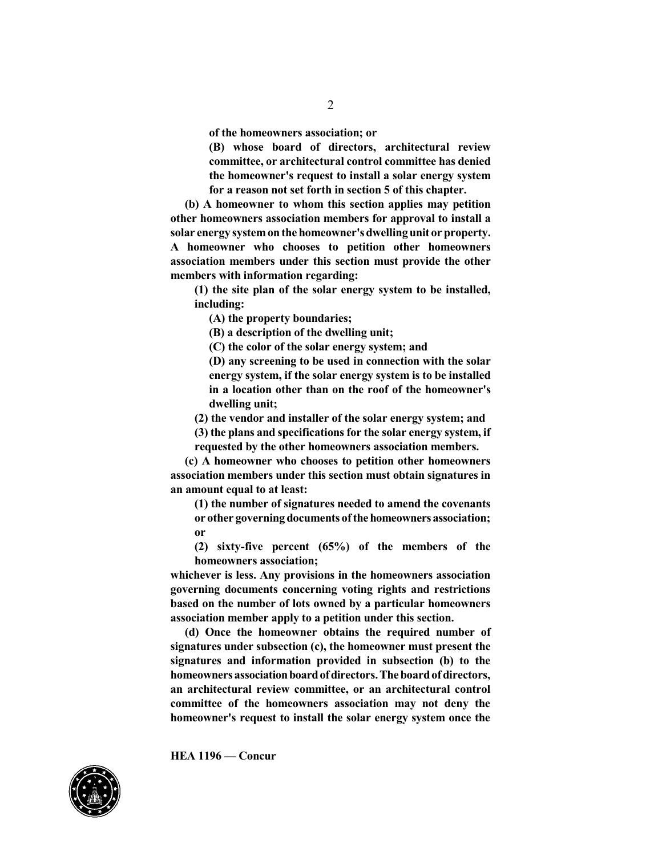2

**of the homeowners association; or**

**(B) whose board of directors, architectural review committee, or architectural control committee has denied the homeowner's request to install a solar energy system for a reason not set forth in section 5 of this chapter.**

**(b) A homeowner to whom this section applies may petition other homeowners association members for approval to install a solar energy systemonthe homeowner'sdwellingunit or property. A homeowner who chooses to petition other homeowners association members under this section must provide the other members with information regarding:**

**(1) the site plan of the solar energy system to be installed, including:**

**(A) the property boundaries;**

**(B) a description of the dwelling unit;**

**(C) the color of the solar energy system; and**

**(D) any screening to be used in connection with the solar energy system, if the solar energy system is to be installed in a location other than on the roof of the homeowner's dwelling unit;**

**(2) the vendor and installer of the solar energy system; and**

**(3) the plans and specifications for the solar energy system, if requested by the other homeowners association members.**

**(c) A homeowner who chooses to petition other homeowners association members under this section must obtain signatures in an amount equal to at least:**

**(1) the number of signatures needed to amend the covenants or other** governing documents of the homeowners association; **or**

**(2) sixty-five percent (65%) of the members of the homeowners association;**

**whichever is less. Any provisions in the homeowners association governing documents concerning voting rights and restrictions based on the number of lots owned by a particular homeowners association member apply to a petition under this section.**

**(d) Once the homeowner obtains the required number of signatures under subsection (c), the homeowner must present the signatures and information provided in subsection (b) to the homeowners associationboardofdirectors.Theboardofdirectors, an architectural review committee, or an architectural control committee of the homeowners association may not deny the homeowner's request to install the solar energy system once the**



**HEA 1196 — Concur**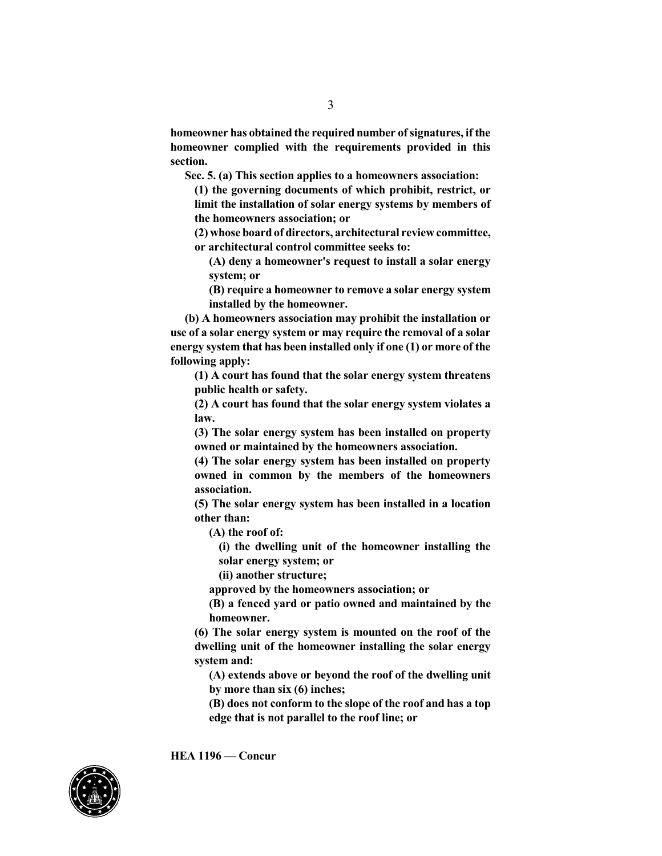**homeowner has obtained the required number ofsignatures, if the homeowner complied with the requirements provided in this section.**

**Sec. 5. (a) This section applies to a homeowners association:**

**(1) the governing documents of which prohibit, restrict, or limit the installation of solar energy systems by members of the homeowners association; or**

**(2) whose board of directors, architectural review committee, or architectural control committee seeks to:**

**(A) deny a homeowner's request to install a solar energy system; or**

**(B) require a homeowner to remove a solar energy system installed by the homeowner.**

**(b) A homeowners association may prohibit the installation or use of a solar energy system or may require the removal of a solar energy system that has been installed only if one (1) or more of the following apply:**

**(1) A court has found that the solar energy system threatens public health or safety.**

**(2) A court has found that the solar energy system violates a law.**

**(3) The solar energy system has been installed on property owned or maintained by the homeowners association.**

**(4) The solar energy system has been installed on property owned in common by the members of the homeowners association.**

**(5) The solar energy system has been installed in a location other than:**

**(A) the roof of:**

**(i) the dwelling unit of the homeowner installing the solar energy system; or**

**(ii) another structure;**

**approved by the homeowners association; or**

**(B) a fenced yard or patio owned and maintained by the homeowner.**

**(6) The solar energy system is mounted on the roof of the dwelling unit of the homeowner installing the solar energy system and:**

**(A) extends above or beyond the roof of the dwelling unit by more than six (6) inches;**

**(B) does not conform to the slope of the roof and has a top edge that is not parallel to the roof line; or**



**HEA 1196 — Concur**